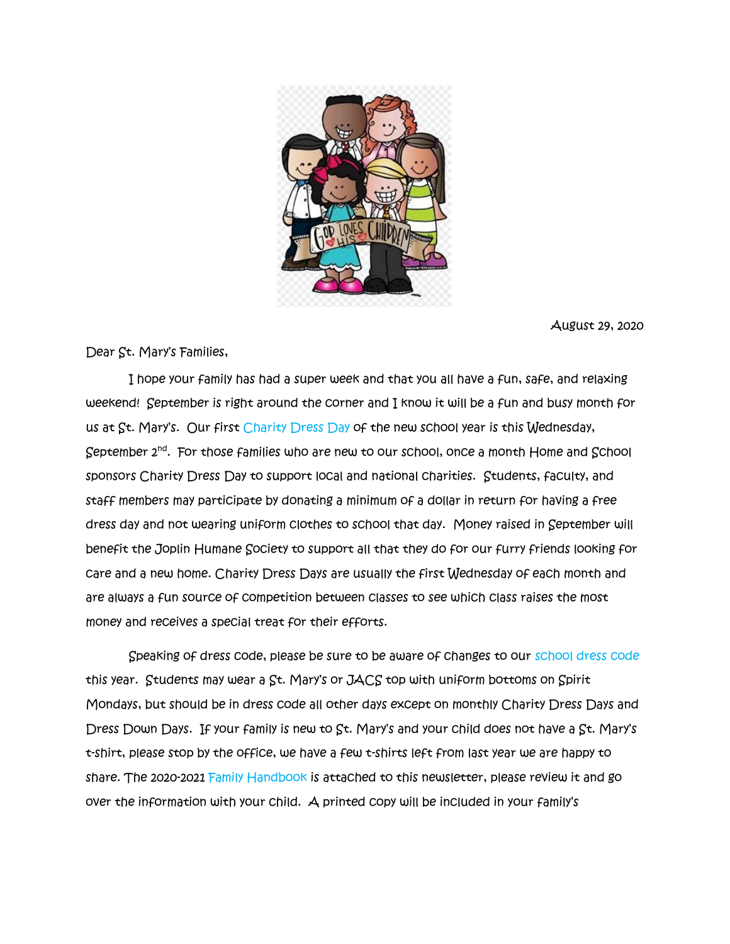

August 29, 2020

Dear St. Mary's Families,

 I hope your family has had a super week and that you all have a fun, safe, and relaxing weekend! September is right around the corner and I know it will be a fun and busy month for us at St. Mary's. Our first Charity Dress Day of the new school year is this Wednesday, September 2nd . For those families who are new to our school, once a month Home and School sponsors Charity Dress Day to support local and national charities. Students, faculty, and staff members may participate by donating a minimum of a dollar in return for having a free dress day and not wearing uniform clothes to school that day. Money raised in September will benefit the Joplin Humane Society to support all that they do for our furry friends looking for care and a new home. Charity Dress Days are usually the first Wednesday of each month and are always a fun source of competition between classes to see which class raises the most money and receives a special treat for their efforts.

 Speaking of dress code, please be sure to be aware of changes to our school dress code this year. Students may wear a St. Mary's or JACS top with uniform bottoms on Spirit Mondays, but should be in dress code all other days except on monthly Charity Dress Days and Dress Down Days. If your family is new to St. Mary's and your child does not have a St. Mary's t-shirt, please stop by the office, we have a few t-shirts left from last year we are happy to share. The 2020-2021 Family Handbook is attached to this newsletter, please review it and go over the information with your child. A printed copy will be included in your family's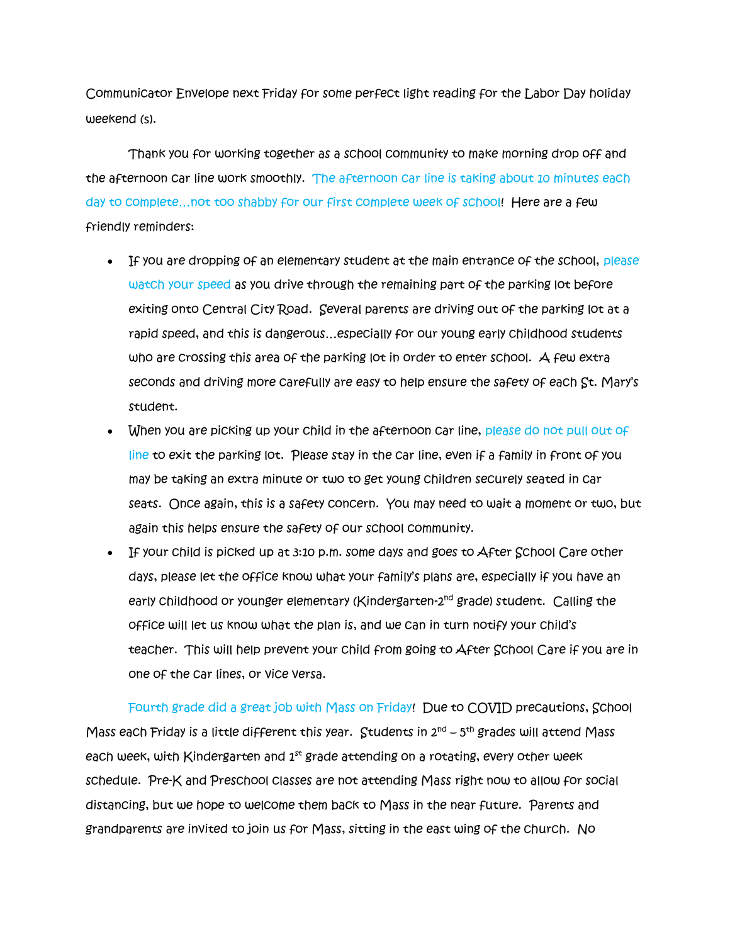Communicator Envelope next Friday for some perfect light reading for the Labor Day holiday weekend (s).

 Thank you for working together as a school community to make morning drop off and the afternoon car line work smoothly. The afternoon car line is taking about 10 minutes each day to complete…not too shabby for our first complete week of school! Here are a few friendly reminders:

- If you are dropping of an elementary student at the main entrance of the school, please watch your speed as you drive through the remaining part of the parking lot before exiting onto Central City Road. Several parents are driving out of the parking lot at a rapid speed, and this is dangerous…especially for our young early childhood students who are crossing this area of the parking lot in order to enter school. A few extra seconds and driving more carefully are easy to help ensure the safety of each St. Mary's student.
- When you are picking up your child in the afternoon car line, please do not pull out of line to exit the parking lot. Please stay in the car line, even if a family in front of you may be taking an extra minute or two to get young children securely seated in car seats. Once again, this is a safety concern. You may need to wait a moment or two, but again this helps ensure the safety of our school community.
- If your child is picked up at 3:10 p.m. some days and goes to After School Care other days, please let the office know what your family's plans are, especially if you have an early Childhood or younger elementary (Kindergarten-2<sup>nd</sup> grade) student. Calling the office will let us know what the plan is, and we can in turn notify your child's teacher. This will help prevent your child from going to After School Care if you are in one of the car lines, or vice versa.

Fourth grade did a great job with Mass on Friday! Due to COVID precautions, School Mass each Friday is a little different this year.  $\,$  Students in 2 $^{\text{nd}}$  – 5th grades will attend Mass  $\,$ each week, with Kindergarten and  $1<sup>st</sup>$  grade attending on a rotating, every other week schedule. Pre-K and Preschool classes are not attending Mass right now to allow for social distancing, but we hope to welcome them back to Mass in the near future. Parents and grandparents are invited to join us for Mass, sitting in the east wing of the church. No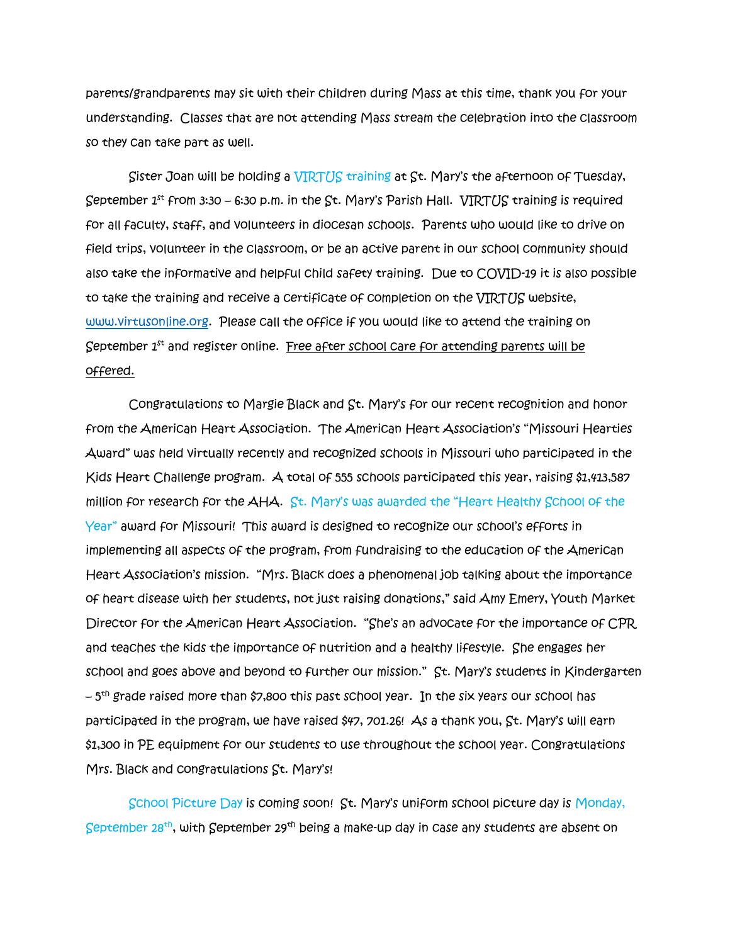parents/grandparents may sit with their children during Mass at this time, thank you for your understanding. Classes that are not attending Mass stream the celebration into the classroom so they can take part as well.

Sister Joan will be holding a VIRTUS training at St. Mary's the afternoon of Tuesday, September  $1^{st}$  from 3:30 – 6:30 p.m. in the St. Mary's Parish Hall. VIRTUS training is required for all faculty, staff, and volunteers in diocesan schools. Parents who would like to drive on field trips, volunteer in the classroom, or be an active parent in our school community should also take the informative and helpful child safety training. Due to COVID-19 it is also possible to take the training and receive a certificate of completion on the VIRTUS website, [www.virtusonline.org.](http://www.virtusonline.org/) Please call the office if you would like to attend the training on September  $1<sup>st</sup>$  and register online. Free after school care for attending parents will be offered.

Congratulations to Margie Black and St. Mary's for our recent recognition and honor from the American Heart Association. The American Heart Association's "Missouri Hearties Award" was held virtually recently and recognized schools in Missouri who participated in the Kids Heart Challenge program. A total of 555 schools participated this year, raising \$1,413,587 million for research for the AHA. St. Mary's was awarded the "Heart Healthy School of the Year" award for Missouri! This award is designed to recognize our school's efforts in implementing all aspects of the program, from fundraising to the education of the American Heart Association's mission. "Mrs. Black does a phenomenal job talking about the importance of heart disease with her students, not just raising donations," said Amy Emery, Youth Market Director for the American Heart Association. "She's an advocate for the importance of CPR and teaches the kids the importance of nutrition and a healthy lifestyle. She engages her school and goes above and beyond to further our mission." St. Mary's students in Kindergarten – 5 th grade raised more than \$7,800 this past school year. In the six years our school has participated in the program, we have raised \$47, 701.26! As a thank you, St. Mary's will earn \$1,300 in PE equipment for our students to use throughout the school year. Congratulations Mrs. Black and congratulations St. Mary's!

School Picture Day is coming soon! St. Mary's uniform school picture day is Monday, September 28<sup>th</sup>, with September 29<sup>th</sup> being a make-up day in case any students are absent on